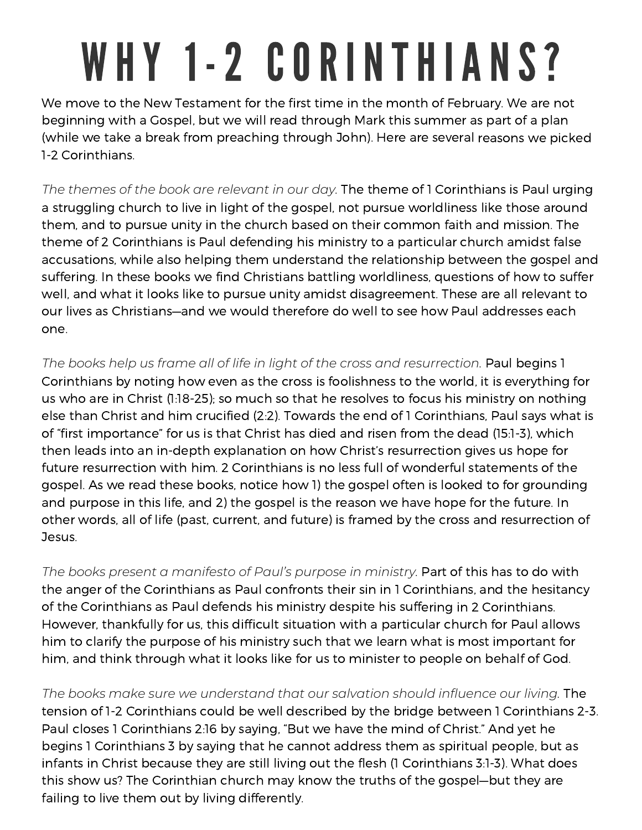## WHY 1-2 CORINTHIANS?

We move to the New Testament for the first time in the month of February. We are not beginning with <sup>a</sup> Gospel, but we will read through Mark this summer as part of <sup>a</sup> plan (while we take <sup>a</sup> break from preaching through John). Here are several reasons we picked 1-2 Corinthians.

*The themes of the book are relevant in our day.* The theme of 1 Corinthians is Paul urging <sup>a</sup> struggling church to live in light of the gospel, not pursue worldliness like those around them, and to pursue unity in the church based on their common faith and mission. The theme of 2 Corinthians is Paul defending his ministry to <sup>a</sup> particular church amidst false accusations, while also helping them understand the relationship between the gospel and suffering. In these books we find Christians battling worldliness, questions of how to suffer well, and what it looks like to pursue unity amidst disagreement. These are all relevant to our lives as Christians—and we would therefore do well to see how Paul addresses each one.

*The books help us frame all of life in light of the cross and resurrection.* Paul begins 1 Corinthians by noting how even as the cross is foolishness to the world, it is everything for us who are in Christ (1:18-25); so much so that he resolves to focus his ministry on nothing else than Christ and him crucified (2:2). Towards the end of 1 Corinthians, Paul says what is of "first importance" for us is that Christ has died and risen from the dead (15:1-3), which then leads into an in-depth explanation on how Christ's resurrection gives us hope for future resurrection with him. 2 Corinthians is no less full of wonderful statements of the gospel. As we read these books, notice how 1) the gospel often is looked to for grounding and purpose in this life, and 2) the gospel is the reason we have hope for the future. In other words, all of life (past, current, and future) is framed by the cross and resurrection of Jesus.

*The books present <sup>a</sup> manifesto of Paul's purpose in ministry.* Part of this has to do with the anger of the Corinthians as Paul confronts their sin in 1 Corinthians, and the hesitancy of the Corinthians as Paul defends his ministry despite his suffering in 2 Corinthians. However, thankfully for us, this difficult situation with <sup>a</sup> particular church for Paul allows him to clarify the purpose of his ministry such that we learn what is most important for him, and think through what it looks like for us to minister to people on behalf of God.

*The books make sure we understand that our salvation should influence our living.* The tension of 1-2 Corinthians could be well described by the bridge between 1 Corinthians 2-3. Paul closes 1 Corinthians 2:16 by saying, "But we have the mind of Christ." And yet he begins 1 Corinthians 3 by saying that he cannot address them as spiritual people, but as infants in Christ because they are still living out the flesh (1 Corinthians 3:1-3). What does this show us? The Corinthian church may know the truths of the gospel—but they are failing to live them out by living differently.